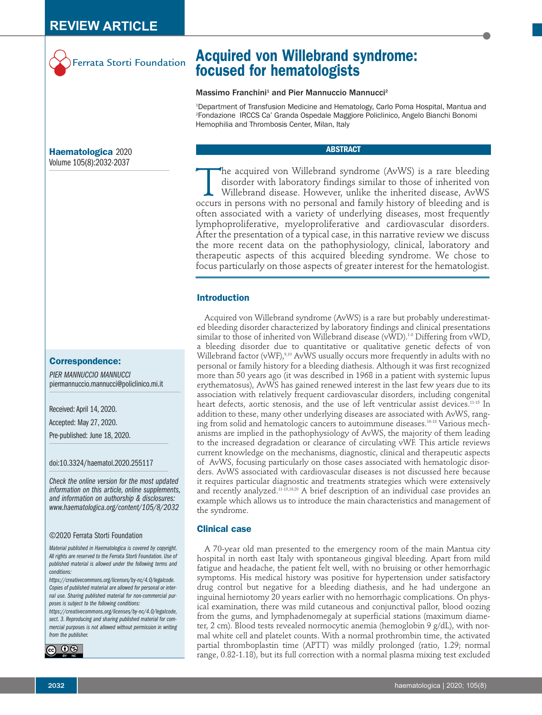

# **Acquired von Willebrand syndrome: focused for hematologists**

#### Massimo Franchini<sup>1</sup> and Pier Mannuccio Mannucci<sup>2</sup>

1 Department of Transfusion Medicine and Hematology, Carlo Poma Hospital, Mantua and 2 Fondazione IRCCS Ca' Granda Ospedale Maggiore Policlinico, Angelo Bianchi Bonomi Hemophilia and Thrombosis Center, Milan, Italy

## **ABSTRACT**

The acquired von Willebrand syndrome (AvWS) is a rare bleeding<br>disorder with laboratory findings similar to those of inherited von<br>Willebrand disease. However, unlike the inherited disease, AvWS<br>occurs in persons with no p disorder with laboratory findings similar to those of inherited von Willebrand disease. However, unlike the inherited disease, AvWS occurs in persons with no personal and family history of bleeding and is often associated with a variety of underlying diseases, most frequently lymphoproliferative, myeloproliferative and cardiovascular disorders. After the presentation of a typical case, in this narrative review we discuss the more recent data on the pathophysiology, clinical, laboratory and therapeutic aspects of this acquired bleeding syndrome. We chose to focus particularly on those aspects of greater interest for the hematologist.

## **Introduction**

Acquired von Willebrand syndrome (AvWS) is a rare but probably underestimated bleeding disorder characterized by laboratory findings and clinical presentations similar to those of inherited von Willebrand disease (vWD).<sup>1-8</sup> Differing from vWD, a bleeding disorder due to quantitative or qualitative genetic defects of von Willebrand factor (vWF),<sup>9,10</sup> AvWS usually occurs more frequently in adults with no personal or family history for a bleeding diathesis. Although it was first recognized more than 50 years ago (it was described in 1968 in a patient with systemic lupus erythematosus), AvWS has gained renewed interest in the last few years due to its association with relatively frequent cardiovascular disorders, including congenital heart defects, aortic stenosis, and the use of left ventricular assist devices.<sup>11-15</sup> In addition to these, many other underlying diseases are associated with AvWS, ranging from solid and hematologic cancers to autoimmune diseases.16-18 Various mechanisms are implied in the pathophysiology of AvWS, the majority of them leading to the increased degradation or clearance of circulating vWF. This article reviews current knowledge on the mechanisms, diagnostic, clinical and therapeutic aspects of AvWS, focusing particularly on those cases associated with hematologic disorders. AvWS associated with cardiovascular diseases is not discussed here because it requires particular diagnostic and treatments strategies which were extensively and recently analyzed.<sup>11-15,19,20</sup> A brief description of an individual case provides an example which allows us to introduce the main characteristics and management of the syndrome.

# **Clinical case**

A 70-year old man presented to the emergency room of the main Mantua city hospital in north east Italy with spontaneous gingival bleeding. Apart from mild fatigue and headache, the patient felt well, with no bruising or other hemorrhagic symptoms. His medical history was positive for hypertension under satisfactory drug control but negative for a bleeding diathesis, and he had undergone an inguinal herniotomy 20 years earlier with no hemorrhagic complications. On physical examination, there was mild cutaneous and conjunctival pallor, blood oozing from the gums, and lymphadenomegaly at superficial stations (maximum diameter, 2 cm). Blood tests revealed normocytic anemia (hemoglobin 9 g/dL), with normal white cell and platelet counts. With a normal prothrombin time, the activated partial thromboplastin time (APTT) was mildly prolonged (ratio, 1.29; normal range, 0.82-1.18), but its full correction with a normal plasma mixing test excluded

**Haematologica** 2020 Volume 105(8):2032-2037

# **Correspondence:**

*PIER MANNUCCIO MANNUCCI* piermannuccio.mannucci@policlinico.mi.it

Received: April 14, 2020.

Accepted: May 27, 2020.

Pre-published: June 18, 2020.

doi:10.3324/haematol.2020.255117

*Check the online version for the most updated information on this article, online supplements, and information on authorship & disclosures: www.haematologica.org/content/105/8/2032*

#### ©2020 Ferrata Storti Foundation

*Material published in Haematologica is covered by copyright. All rights are reserved to the Ferrata Storti Foundation. Use of published material is allowed under the following terms and conditions:* 

*https://creativecommons.org/licenses/by-nc/4.0/legalcode. Copies of published material are allowed for personal or internal use. Sharing published material for non-commercial purposes is subject to the following conditions:* 

*https://creativecommons.org/licenses/by-nc/4.0/legalcode, sect. 3. Reproducing and sharing published material for commercial purposes is not allowed without permission in writing from the publisher.*

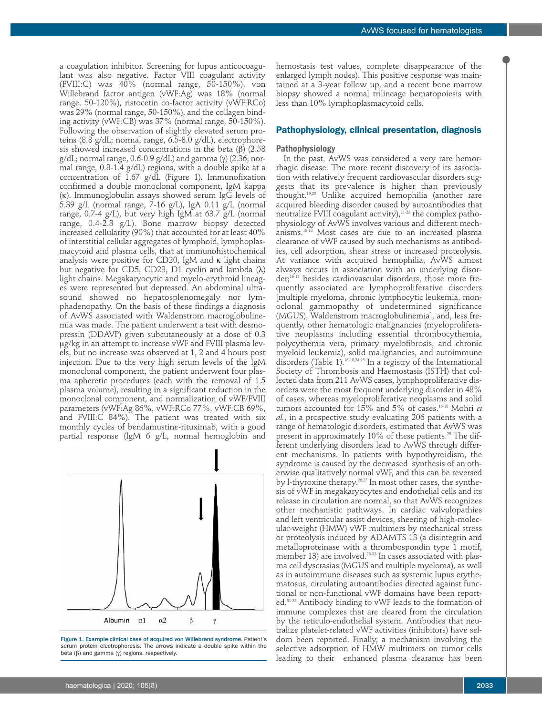a coagulation inhibitor. Screening for lupus anticocoagulant was also negative. Factor VIII coagulant activity (FVIII:C) was 40% (normal range, 50-150%), von Willebrand factor antigen (vWF:Ag) was 18% (normal range. 50-120%), ristocetin co-factor activity (vWF:RCo) was 29% (normal range, 50-150%), and the collagen binding activity (vWF:CB) was 37% (normal range, 50-150%). Following the observation of slightly elevated serum proteins (8.8 g/dL; normal range, 6.5-8.0 g/dL), electrophoresis showed increased concentrations in the beta  $(\beta)$  (2.58) g/dL; normal range, 0.6-0.9 g/dL) and gamma (γ) (2.36; normal range, 0.8-1.4 g/dL) regions, with a double spike at a concentration of 1.67 g/dL (Figure 1). Immunofixation confirmed a double monoclonal component, IgM kappa (k). Immunoglobulin assays showed serum IgG levels of 5.39 g/L (normal range, 7-16 g/L), IgA 0.11 g/L (normal range, 0.7-4 g/L), but very high IgM at 63.7 g/L (normal range, 0.4-2.3 g/L). Bone marrow biopsy detected increased cellularity (90%) that accounted for at least 40% of interstitial cellular aggregates of lymphoid, lymphoplasmacytoid and plasma cells, that at immunohistochemical analysis were positive for CD20, IgM and  $\kappa$  light chains but negative for CD5, CD23, D1 cyclin and lambda (λ) light chains. Megakaryocytic and myelo-erythroid lineages were represented but depressed. An abdominal ultrasound showed no hepatosplenomegaly nor lymphadenopathy. On the basis of these findings a diagnosis of AvWS associated with Waldenstrom macroglobulinemia was made. The patient underwent a test with desmopressin (DDAVP) given subcutaneously at a dose of 0.3 ug/kg in an attempt to increase vWF and FVIII plasma levels, but no increase was observed at 1, 2 and 4 hours post injection. Due to the very high serum levels of the IgM monoclonal component, the patient underwent four plasma apheretic procedures (each with the removal of 1.5 plasma volume), resulting in a significant reduction in the monoclonal component, and normalization of vWF/FVIII parameters (vWF:Ag 86%, vWF:RCo 77%, vWF:CB 69%, and FVIII:C 84%). The patient was treated with six monthly cycles of bendamustine-rituximab, with a good partial response (IgM 6 g/L, normal hemoglobin and



Figure 1. Example clinical case of acquired von Willebrand syndrome. Patient's serum protein electrophoresis. The arrows indicate a double spike within the beta (β) and gamma (γ) regions, respectively.

hemostasis test values, complete disappearance of the enlarged lymph nodes). This positive response was maintained at a 3-year follow up, and a recent bone marrow biopsy showed a normal trilineage hematopoiesis with less than 10% lymphoplasmacytoid cells.

#### **Pathophysiology, clinical presentation, diagnosis**

#### **Pathophysiology**

In the past, AvWS was considered a very rare hemorrhagic disease. The more recent discovery of its association with relatively frequent cardiovascular disorders suggests that its prevalence is higher than previously thought.19,20 Unlike acquired hemophilia (another rare acquired bleeding disorder caused by autoantibodies that neutralize FVIII coagulant activity), $^{21\cdot 23}$  the complex pathophysiology of AvWS involves various and different mechanisms.16-18 Most cases are due to an increased plasma clearance of vWF caused by such mechanisms as antibodies, cell adsorption, shear stress or increased proteolysis. At variance with acquired hemophilia, AvWS almost always occurs in association with an underlying disorder;16-18 besides cardiovascular disorders, those more frequently associated are lymphoproliferative disorders [multiple myeloma, chronic lymphocytic leukemia, monoclonal gammopathy of undetermined significance (MGUS), Waldenstrom macroglobulinemia], and, less frequently, other hematologic malignancies (myeloproliferative neoplasms including essential thrombocythemia, polycythemia vera, primary myelofibrosis, and chronic myeloid leukemia), solid malignancies, and autoimmune disorders (Table 1).<sup>16-18,24,25</sup> In a registry of the International Society of Thrombosis and Haemostasis (ISTH) that collected data from 211 AvWS cases, lymphoproliferative disorders were the most frequent underlying disorder in 48% of cases, whereas myeloproliferative neoplasms and solid tumors accounted for 15% and 5% of cases.16-18 Mohri *et al.*, in a prospective study evaluating 206 patients with a range of hematologic disorders, estimated that AvWS was present in approximately  $10\%$  of these patients.<sup>25</sup> The different underlying disorders lead to AvWS through different mechanisms. In patients with hypothyroidism, the syndrome is caused by the decreased synthesis of an otherwise qualitatively normal vWF, and this can be reversed by l-thyroxine therapy.<sup>26,27</sup> In most other cases, the synthesis of vWF in megakaryocytes and endothelial cells and its release in circulation are normal, so that AvWS recognizes other mechanistic pathways. In cardiac valvulopathies and left ventricular assist devices, sheering of high-molecular-weight (HMW) vWF multimers by mechanical stress or proteolysis induced by ADAMTS 13 (a disintegrin and metalloproteinase with a thrombospondin type 1 motif, member 13) are involved.28-33 In cases associated with plasma cell dyscrasias (MGUS and multiple myeloma), as well as in autoimmune diseases such as systemic lupus erythematosus, circulating autoantibodies directed against functional or non-functional vWF domains have been reported.31-33 Antibody binding to vWF leads to the formation of immune complexes that are cleared from the circulation by the reticulo-endothelial system. Antibodies that neutralize platelet-related vWF activities (inhibitors) have seldom been reported. Finally, a mechanism involving the selective adsorption of HMW multimers on tumor cells leading to their enhanced plasma clearance has been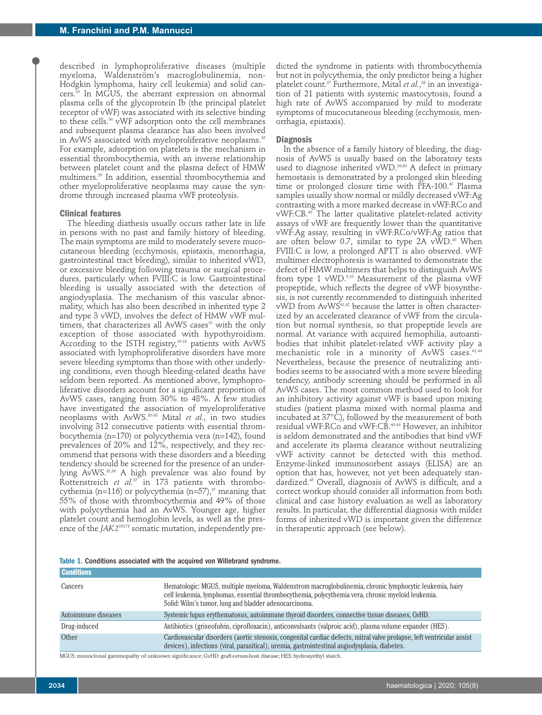described in lymphoproliferative diseases (multiple myeloma, Waldenström's macroglobulinemia, non-Hodgkin lymphoma, hairy cell leukemia) and solid cancers.<sup>33</sup> In MGUS, the aberrant expression on abnormal plasma cells of the glycoprotein Ib (the principal platelet receptor of vWF) was associated with its selective binding to these cells.34 vWF adsorption onto the cell membranes and subsequent plasma clearance has also been involved in AvWS associated with myeloproliferative neoplasms.<sup>35</sup> For example, adsorption on platelets is the mechanism in essential thrombocythemia, with an inverse relationship between platelet count and the plasma defect of HMW multimers.35 In addition, essential thrombocythemia and other myeloproliferative neoplasms may cause the syndrome through increased plasma vWF proteolysis.

#### **Clinical features**

The bleeding diathesis usually occurs rather late in life in persons with no past and family history of bleeding. The main symptoms are mild to moderately severe mucocutaneous bleeding (ecchymosis, epistaxis, menorrhagia, gastrointestinal tract bleeding), similar to inherited vWD, or excessive bleeding following trauma or surgical procedures, particularly when FVIII:C is low. Gastrointestinal bleeding is usually associated with the detection of angiodysplasia. The mechanism of this vascular abnormality, which has also been described in inherited type 2 and type 3 vWD, involves the defect of HMW vWF multimers, that characterizes all AvWS cases<sup>10</sup> with the only exception of those associated with hypothyroidism. According to the ISTH registry,<sup>16-18</sup> patients with AvWS associated with lymphoproliferative disorders have more severe bleeding symptoms than those with other underlying conditions, even though bleeding-related deaths have seldom been reported. As mentioned above, lymphoproliferative disorders account for a significant proportion of AvWS cases, ranging from 30% to 48%. A few studies have investigated the association of myeloproliferative neoplasms with AvWS.35-38 Mital *et al*., in two studies involving 312 consecutive patients with essential thrombocythemia (n=170) or polycythemia vera (n=142), found prevalences of 20% and 12%, respectively, and they recommend that persons with these disorders and a bleeding tendency should be screened for the presence of an underlying AvWS.<sup>35,36</sup> A high prevalence was also found by Rottenstreich et al.<sup>37</sup> in 173 patients with thrombocythemia (n=116) or polycythemia (n=57), $37$  meaning that 55% of those with thrombocythemia and 49% of those with polycythemia had an AvWS. Younger age, higher platelet count and hemoglobin levels, as well as the presence of the *JAK2<sup>V617F</sup>* somatic mutation, independently pre-

dicted the syndrome in patients with thrombocythemia but not in polycythemia, the only predictor being a higher platelet count.<sup>37</sup> Furthermore, Mital *et al.*,<sup>38</sup> in an investigation of 21 patients with systemic mastocytosis, found a high rate of AvWS accompanied by mild to moderate symptoms of mucocutaneous bleeding (ecchymosis, menorrhagia, epistaxis).

#### **Diagnosis**

In the absence of a family history of bleeding, the diagnosis of AvWS is usually based on the laboratory tests used to diagnose inherited vWD.<sup>39,40</sup> A defect in primary hemostasis is demonstrated by a prolonged skin bleeding time or prolonged closure time with PFA-100.<sup>40</sup> Plasma samples usually show normal or mildly decreased vWF:Ag contrasting with a more marked decrease in vWF:RCo and vWF:CB.40 The latter qualitative platelet-related activity assays of vWF are frequently lower than the quantitative vWF:Ag assay, resulting in vWF:RCo/vWF:Ag ratios that are often below 0.7, similar to type 2A  $vWD.^{40}$  When FVIII:C is low, a prolonged APTT is also observed. vWF multimer electrophoresis is warranted to demonstrate the defect of HMW multimers that helps to distinguish AvWS from type 1 vWD.<sup>9,10</sup> Measurement of the plasma vWF propeptide, which reflects the degree of vWF biosynthesis, is not currently recommended to distinguish inherited vWD from AvWS41,42 because the latter is often characterized by an accelerated clearance of vWF from the circulation but normal synthesis, so that propeptide levels are normal. At variance with acquired hemophilia, autoantibodies that inhibit platelet-related vWF activity play a mechanistic role in a minority of AvWS cases.43,44 Nevertheless, because the presence of neutralizing antibodies seems to be associated with a more severe bleeding tendency, antibody screening should be performed in all AvWS cases. The most common method used to look for an inhibitory activity against vWF is based upon mixing studies (patient plasma mixed with normal plasma and incubated at 37°C), followed by the measurement of both residual vWF:RCo and vWF:CB.40-44 However, an inhibitor is seldom demonstrated and the antibodies that bind vWF and accelerate its plasma clearance without neutralizing vWF activity cannot be detected with this method. Enzyme-linked immunosorbent assays (ELISA) are an option that has, however, not yet been adequately standardized.45 Overall, diagnosis of AvWS is difficult, and a correct workup should consider all information from both clinical and case history evaluation as well as laboratory results. In particular, the differential diagnosis with milder forms of inherited vWD is important given the difference in therapeutic approach (see below).

|  | Table 1. Conditions associated with the acquired von Willebrand syndrome. |  |  |  |  |  |  |  |
|--|---------------------------------------------------------------------------|--|--|--|--|--|--|--|
|--|---------------------------------------------------------------------------|--|--|--|--|--|--|--|

| <b>Conditions</b>   |                                                                                                                                                                                                                                                                       |
|---------------------|-----------------------------------------------------------------------------------------------------------------------------------------------------------------------------------------------------------------------------------------------------------------------|
| Cancers             | Hematologic: MGUS, multiple myeloma, Waldenstrom macroglobulinemia, chronic lymphocytic leukemia, hairy<br>cell leukemia, lymphomas, essential thrombocythemia, polycythemia vera, chronic myeloid leukemia.<br>Solid: Wilm's tumor, lung and bladder adenocarcinoma. |
| Autoimmune diseases | Systemic lupus erythematosus, autoimmune thyroid disorders, connective tissue diseases, GvHD.                                                                                                                                                                         |
| Drug-induced        | Antibiotics (griseofulvin, ciprofloxacin), anticonvulsants (valproic acid), plasma volume expander (HES).                                                                                                                                                             |
| Other               | Cardiovascular disorders (aortic stenosis, congenital cardiac defects, mitral valve prolapse, left ventricular assist<br>devices), infections (viral, parasitical), uremia, gastrointestinal angiodysplasia, diabetes.                                                |
|                     |                                                                                                                                                                                                                                                                       |

MGUS: monoclonal gammopathy of unknown significance; GvHD: graft-*versus-*host disease; HES: hydroxyethyl starch.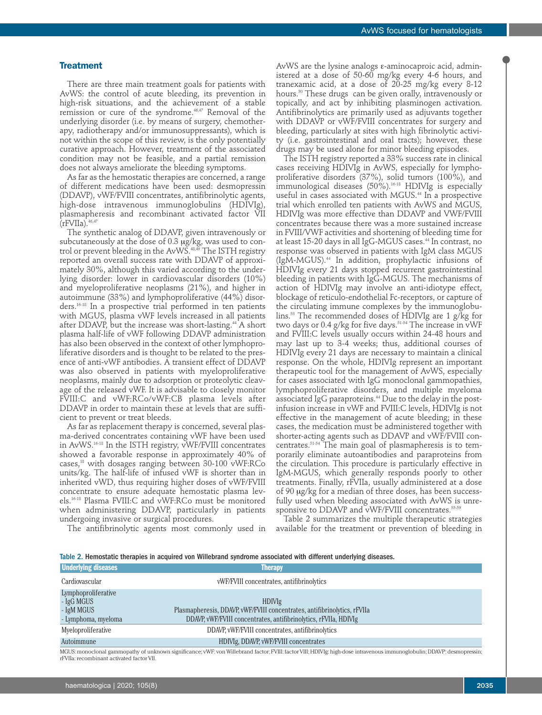#### **Treatment**

There are three main treatment goals for patients with AvWS: the control of acute bleeding, its prevention in high-risk situations, and the achievement of a stable remission or cure of the syndrome.<sup>46,47</sup> Removal of the underlying disorder (i.e. by means of surgery, chemotherapy, radiotherapy and/or immunosuppressants), which is not within the scope of this review, is the only potentially curative approach. However, treatment of the associated condition may not be feasible, and a partial remission does not always ameliorate the bleeding symptoms.

As far as the hemostatic therapies are concerned, a range of different medications have been used: desmopressin (DDAVP), vWF/FVIII concentrates, antifibrinolytic agents, high-dose intravenous immunoglobulins (HDIVIg), plasmapheresis and recombinant activated factor VII  $(rFVIIa).$ <sup>46,47</sup>

The synthetic analog of DDAVP, given intravenously or subcutaneously at the dose of  $0.3 \mu$ g/kg, was used to control or prevent bleeding in the AvWS.<sup>48,49</sup> The ISTH registry reported an overall success rate with DDAVP of approximately 30%, although this varied according to the underlying disorder: lower in cardiovascular disorders (10%) and myeloproliferative neoplasms (21%), and higher in autoimmune (33%) and lymphoproliferative (44%) disorders.16-18 In a prospective trial performed in ten patients with MGUS, plasma vWF levels increased in all patients after DDAVP, but the increase was short-lasting.<sup>44</sup> A short plasma half-life of vWF following DDAVP administration has also been observed in the context of other lymphoproliferative disorders and is thought to be related to the presence of anti-vWF antibodies. A transient effect of DDAVP was also observed in patients with myeloproliferative neoplasms, mainly due to adsorption or proteolytic cleavage of the released vWF. It is advisable to closely monitor FVIII:C and vWF:RCo/vWF:CB plasma levels after DDAVP in order to maintain these at levels that are sufficient to prevent or treat bleeds.

As far as replacement therapy is concerned, several plasma-derived concentrates containing vWF have been used in AvWS.16-18 In the ISTH registry, vWF/FVIII concentrates showed a favorable response in approximately 40% of cases,18 with dosages ranging between 30-100 vWF:RCo units/kg. The half-life of infused vWF is shorter than in inherited vWD, thus requiring higher doses of vWF/FVIII concentrate to ensure adequate hemostatic plasma levels.16-18 Plasma FVIII:C and vWF:RCo must be monitored when administering DDAVP, particularly in patients undergoing invasive or surgical procedures.

The antifibrinolytic agents most commonly used in

AvWS are the lysine analogs ε-aminocaproic acid, administered at a dose of 50-60 mg/kg every 4-6 hours, and tranexamic acid, at a dose of 20-25 mg/kg every 8-12 hours.<sup>50</sup> These drugs can be given orally, intravenously or topically, and act by inhibiting plasminogen activation. Antifibrinolytics are primarily used as adjuvants together with DDAVP or vWF/FVIII concentrates for surgery and bleeding, particularly at sites with high fibrinolytic activity (i.e. gastrointestinal and oral tracts); however, these drugs may be used alone for minor bleeding episodes.

The ISTH registry reported a 33% success rate in clinical cases receiving HDIVIg in AvWS, especially for lymphoproliferative disorders (37%), solid tumors (100%), and immunological diseases (50%).<sup>16-18</sup> HDIVIg is especially useful in cases associated with MGUS.<sup>44</sup> In a prospective trial which enrolled ten patients with AvWS and MGUS, HDIVIg was more effective than DDAVP and VWF/FVIII concentrates because there was a more sustained increase in FVIII/VWF activities and shortening of bleeding time for at least 15-20 days in all IgG-MGUS cases.<sup>44</sup> In contrast, no response was observed in patients with IgM class MGUS (IgM-MGUS).44 In addition, prophylactic infusions of HDIVIg every 21 days stopped recurrent gastrointestinal bleeding in patients with IgG-MGUS. The mechanisms of action of HDIVIg may involve an anti-idiotype effect, blockage of reticulo-endothelial Fc-receptors, or capture of the circulating immune complexes by the immunoglobulins.53 The recommended doses of HDIVIg are 1 g/kg for two days or 0.4 g/kg for five days.<sup>51-54</sup> The increase in vWF and FVIII:C levels usually occurs within 24-48 hours and may last up to 3-4 weeks; thus, additional courses of HDIVIg every 21 days are necessary to maintain a clinical response. On the whole, HDIVIg represent an important therapeutic tool for the management of AvWS, especially for cases associated with IgG monoclonal gammopathies, lymphoproliferative disorders, and multiple myeloma associated IgG paraproteins.<sup>44</sup> Due to the delay in the postinfusion increase in vWF and FVIII:C levels, HDIVIg is not effective in the management of acute bleeding; in these cases, the medication must be administered together with shorter-acting agents such as DDAVP and vWF/FVIII concentrates.51-54 The main goal of plasmapheresis is to temporarily eliminate autoantibodies and paraproteins from the circulation. This procedure is particularly effective in IgM-MGUS, which generally responds poorly to other treatments. Finally, rFVIIa, usually administered at a dose of 90 mg/kg for a median of three doses, has been successfully used when bleeding associated with AvWS is unresponsive to DDAVP and vWF/FVIII concentrates.<sup>55-59</sup>

Table 2 summarizes the multiple therapeutic strategies available for the treatment or prevention of bleeding in

|  |  |  | Table 2. Hemostatic therapies in acquired von Willebrand syndrome associated with different underlying diseases. |  |  |  |  |  |  |  |
|--|--|--|------------------------------------------------------------------------------------------------------------------|--|--|--|--|--|--|--|
|--|--|--|------------------------------------------------------------------------------------------------------------------|--|--|--|--|--|--|--|

| <b>Underlying diseases</b> | <b>Therapy</b>                                                                                                                                                          |
|----------------------------|-------------------------------------------------------------------------------------------------------------------------------------------------------------------------|
| Cardiovascular             | vWF/FVIII concentrates, antifibrinolytics                                                                                                                               |
| Lymphoproliferative        |                                                                                                                                                                         |
| - IgG MGUS                 | <b>HDIVIg</b>                                                                                                                                                           |
| - IgM MGUS                 | Plasmapheresis, DDAVP, vWF/FVIII concentrates, antifibrinolytics, rFVIIa                                                                                                |
| - Lymphoma, myeloma        | DDAVP, vWF/FVIII concentrates, antifibrinolytics, rFVIIa, HDIVIg                                                                                                        |
| Myeloproliferative         | DDAVP, vWF/FVIII concentrates, antifibrinolytics                                                                                                                        |
| Autoimmune                 | HDIVIg, DDAVP, vWF/FVIII concentrates                                                                                                                                   |
|                            | MGUS: monoclonal gammopathy of unknown significance; vWF: von Willebrand factor; FVIII: factor VIII; HDIVIg: high-dose intravenous immunoglobulin; DDAVP: desmopressin; |

rFVIIa: recombinant activated factor VII.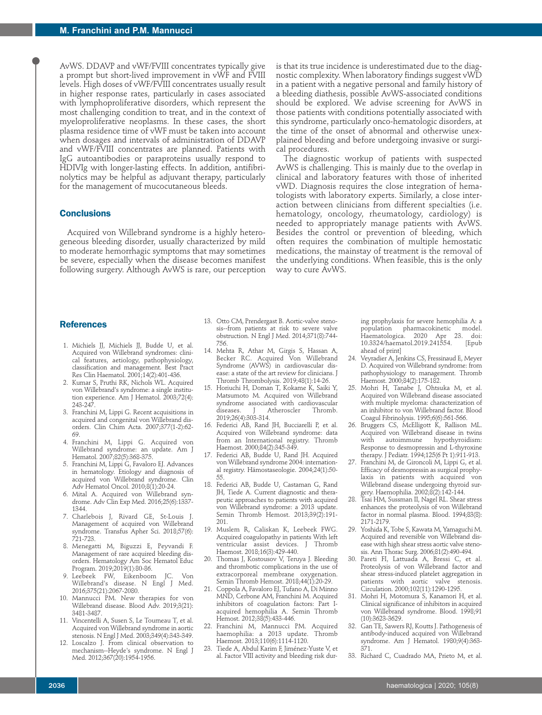AvWS. DDAVP and vWF/FVIII concentrates typically give a prompt but short-lived improvement in vWF and FVIII levels. High doses of vWF/FVIII concentrates usually result in higher response rates, particularly in cases associated with lymphoproliferative disorders, which represent the most challenging condition to treat, and in the context of myeloproliferative neoplasms. In these cases, the short plasma residence time of vWF must be taken into account when dosages and intervals of administration of DDAVP and vWF/FVIII concentrates are planned. Patients with IgG autoantibodies or paraproteins usually respond to HDIVIg with longer-lasting effects. In addition, antifibrinolytics may be helpful as adjuvant therapy, particularly for the management of mucocutaneous bleeds.

### **Conclusions**

Acquired von Willebrand syndrome is a highly heterogeneous bleeding disorder, usually characterized by mild to moderate hemorrhagic symptoms that may sometimes be severe, especially when the disease becomes manifest following surgery. Although AvWS is rare, our perception

is that its true incidence is underestimated due to the diagnostic complexity. When laboratory findings suggest vWD in a patient with a negative personal and family history of a bleeding diathesis, possible AvWS-associated conditions should be explored. We advise screening for AvWS in those patients with conditions potentially associated with this syndrome, particularly onco-hematologic disorders, at the time of the onset of abnormal and otherwise unexplained bleeding and before undergoing invasive or surgical procedures.

The diagnostic workup of patients with suspected AvWS is challenging. This is mainly due to the overlap in clinical and laboratory features with those of inherited vWD. Diagnosis requires the close integration of hematologists with laboratory experts. Similarly, a close interaction between clinicians from different specialties (i.e. hematology, oncology, rheumatology, cardiology) is needed to appropriately manage patients with AvWS. Besides the control or prevention of bleeding, which often requires the combination of multiple hemostatic medications, the mainstay of treatment is the removal of the underlying conditions. When feasible, this is the only way to cure AvWS.

## **References**

- 1. Michiels JJ, Michiels JJ, Budde U, et al. Acquired von Willebrand syndromes: clinical features, aetiology, pathophysiology, classification and management. Best Pract Res Clin Haematol. 2001;14(2):401-436.
- 2. Kumar S, Pruthi RK, Nichols WL. Acquired von Willebrand's syndrome: a single institution experience. Am J Hematol. 2003;72(4): 243-247.
- 3. Franchini M, Lippi G. Recent acquisitions in acquired and congenital von Willebrand disorders. Clin Chim Acta. 2007;377(1-2):62- 69.
- 4. Franchini M, Lippi G. Acquired von Willebrand syndrome: an update. Am J Hematol. 2007;82(5):368-375.
- 5. Franchini M, Lippi G, Favaloro EJ. Advances in hematology. Etiology and diagnosis of acquired von Willebrand syndrome. Clin Adv Hematol Oncol. 2010;8(1):20-24.
- 6. Mital A. Acquired von Willebrand syndrome. Adv Clin Exp Med. 2016;25(6):1337- 1344.
- 7. Charlebois J, Rivard GE, St-Louis J. Management of acquired von Willebrand syndrome. Transfus Apher Sci. 2018;57(6): 721-723.
- 8. Menegatti M, Biguzzi E, Peyvandi F. Management of rare acquired bleeding disorders. Hematology Am Soc Hematol Educ Program. 2019;2019(1):80-86.
- 9. Leebeek FW, Eikenboom JC. Von Willebrand's disease. N Engl J Med. 2016;375(21):2067-2080.
- 10. Mannucci PM. New therapies for von Willebrand disease. Blood Adv. 2019;3(21): 3481-3487.
- 11. Vincentelli A, Susen S, Le Tourneau T, et al. Acquired von Willebrand syndrome in aortic stenosis. N Engl J Med. 2003;349(4):343-349.
- 12. Loscalzo J. From clinical observation to mechanism--Heyde's syndrome. N Engl J Med. 2012;367(20):1954-1956.
- 13. Otto CM, Prendergast B. Aortic-valve stenosis--from patients at risk to severe valve obstruction. N Engl J Med. 2014;371(8):744- 756.
- 14. Mehta R, Athar M, Girgis S, Hassan A, Becker RC. Acquired Von Willebrand Syndrome (AVWS) in cardiovascular disease: a state of the art review for clinicians. J Thromb Thrombolysis. 2019;48(1):14-26.
- 15. Horiuchi H, Doman T, Kokame K, Saiki Y, Matsumoto M. Acquired von Willebrand syndrome associated with cardiovascular<br>diseases. I Atheroscler Thromb. Atheroscler 2019;26(4):303-314.
- 16. Federici AB, Rand JH, Bucciarelli P, et al. Acquired von Willebrand syndrome: data from an International registry. Thromb Haemost. 2000;84(2):345-349.
- 17. Federici AB, Budde U, Rand JH. Acquired von Willebrand syndrome 2004: international registry. Hämostaseologie. 2004;24(1):50- 55.
- 18. Federici AB, Budde U, Castaman G, Rand JH, Tiede A. Current diagnostic and therapeutic approaches to patients with acquired von Willebrand syndrome: a 2013 update. Semin Thromb Hemost. 2013;39(2):191- 201.
- 19. Muslem R, Caliskan K, Leebeek FWG. Acquired coagulopathy in patients With left ventricular assist devices. J Thromb Haemost. 2018;16(3):429-440.
- 20. Thomas J, Kostousov V, Teruya J. Bleeding and thrombotic complications in the use of extracorporeal membrane oxygenation. Semin Thromb Hemost. 2018;44(1):20-29.
- 21. Coppola A, Favaloro EJ, Tufano A, Di Minno MND, Cerbone AM, Franchini M. Acquired inhibitors of coagulation factors: Part Iacquired hemophilia A. Semin Thromb Hemost. 2012;38(5):433-446.
- 22. Franchini M, Mannucci PM. Acquired haemophilia: a 2013 update. Thromb Haemost. 2013;110(6):1114-1120.
- 23. Tiede A, Abdul Karim F, Jiménez-Yuste V, et al. Factor VIII activity and bleeding risk dur-

ing prophylaxis for severe hemophilia A: a population pharmacokinetic .<br>Haematologica. 2020 Apr 23. doi:<br>10.3324/haematol.2019.241554. [Epub 10.3324/haematol.2019.241554. ahead of print]

- 24. Veyradier A, Jenkins CS, Fressinaud E, Meyer D. Acquired von Willebrand syndrome: from pathophysiology to management. Thromb Haemost. 2000;84(2):175-182.
- 25. Mohri H, Tanabe J, Ohtsuka M, et al. Acquired von Willebrand disease associated with multiple myeloma: characterization of an inhibitor to von Willebrand factor. Blood Coagul Fibrinolysis. 1995;6(6):561-566.
- 26. Bruggers CS, McElligott K, Rallison ML. Acquired von Willebrand disease in twins<br>with autoimmune hypothyroidism: with autoimmune Response to desmopressin and L-thyroxine therapy. J Pediatr. 1994;125(6 Pt 1):911-913.
- 27. Franchini M, de Gironcoli M, Lippi G, et al. Efficacy of desmopressin as surgical prophylaxis in patients with acquired von Willebrand disease undergoing thyroid surgery. Haemophilia. 2002;8(2):142-144.
- 28. Tsai HM, Sussman II, Nagel RL. Shear stress enhances the proteolysis of von Willebrand factor in normal plasma. Blood. 1994;83(8): 2171-2179.
- 29. Yoshida K, Tobe S, Kawata M, Yamaguchi M. Acquired and reversible von Willebrand disease with high shear stress aortic valve stenosis. Ann Thorac Surg. 2006;81(2):490-494.
- 30. Pareti FI, Lattuada A, Bressi C, et al. Proteolysis of von Willebrand factor and shear stress-induced platelet aggregation in patients with aortic valve stenosis. Circulation. 2000;102(11):1290-1295.
- 31. Mohri H, Motomura S, Kanamori H, et al. Clinical significance of inhibitors in acquired von Willebrand syndrome. Blood. 1998;91 (10):3623-3629.
- 32. Gan TE, Sawers RJ, Koutts J. Pathogenesis of antibody-induced acquired von Willebrand syndrome. Am J Hematol. 1980;9(4):363- 371.
- 33. Richard C, Cuadrado MA, Prieto M, et al.